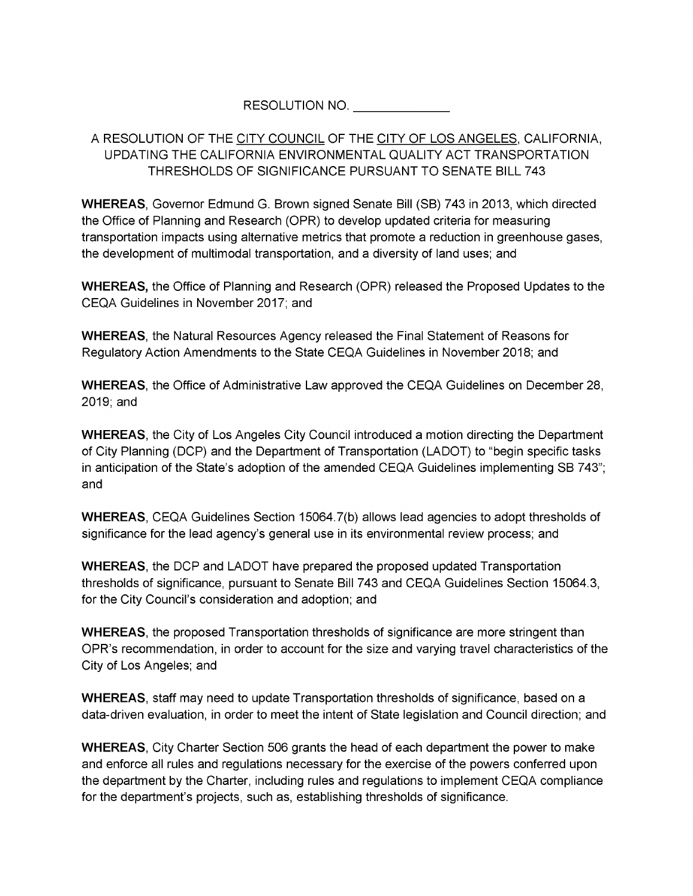## RESOLUTION NO.

## A RESOLUTION OF THE CITY COUNCIL OF THE CITY OF LOS ANGELES, CALIFORNIA, UPDATING THE CALIFORNIA ENVIRONMENTAL QUALITY ACT TRANSPORTATION THRESHOLDS OF SIGNIFICANCE PURSUANT TO SENATE BILL 743

**WHEREAS**, Governor Edmund G. Brown signed Senate Bill (SB) 743 in 2013, which directed the Office of Planning and Research (OPR) to develop updated criteria for measuring transportation impacts using alternative metrics that promote a reduction in greenhouse gases, the development of multimodal transportation, and a diversity of land uses; and

**WHEREAS,** the Office of Planning and Research (OPR) released the Proposed Updates to the CEQA Guidelines in November 2017; and

**WHEREAS**, the Natural Resources Agency released the Final Statement of Reasons for Regulatory Action Amendments to the State CEQA Guidelines in November 2018; and

**WHEREAS**, the Office of Administrative Law approved the CEQA Guidelines on December 28, 2019; and

**WHEREAS**, the City of Los Angeles City Council introduced a motion directing the Department of City Planning (DCP) and the Department of Transportation (LADOT) to "begin specific tasks in anticipation of the State's adoption of the amended CEQA Guidelines implementing SB 743"; and

**WHEREAS**, CEQA Guidelines Section 15064.7(b) allows lead agencies to adopt thresholds of significance for the lead agency's general use in its environmental review process; and

**WHEREAS**, the DCP and LADOT have prepared the proposed updated Transportation thresholds of significance, pursuant to Senate Bill 743 and CEQA Guidelines Section 15064.3, for the City Council's consideration and adoption; and

**WHEREAS**, the proposed Transportation thresholds of significance are more stringent than OPR's recommendation, in order to account for the size and varying travel characteristics of the City of Los Angeles; and

**WHEREAS**, staff may need to update Transportation thresholds of significance, based on a data-driven evaluation, in order to meet the intent of State legislation and Council direction; and

**WHEREAS**, City Charter Section 506 grants the head of each department the power to make and enforce all rules and regulations necessary for the exercise of the powers conferred upon the department by the Charter, including rules and regulations to implement CEQA compliance for the department's projects, such as, establishing thresholds of significance.